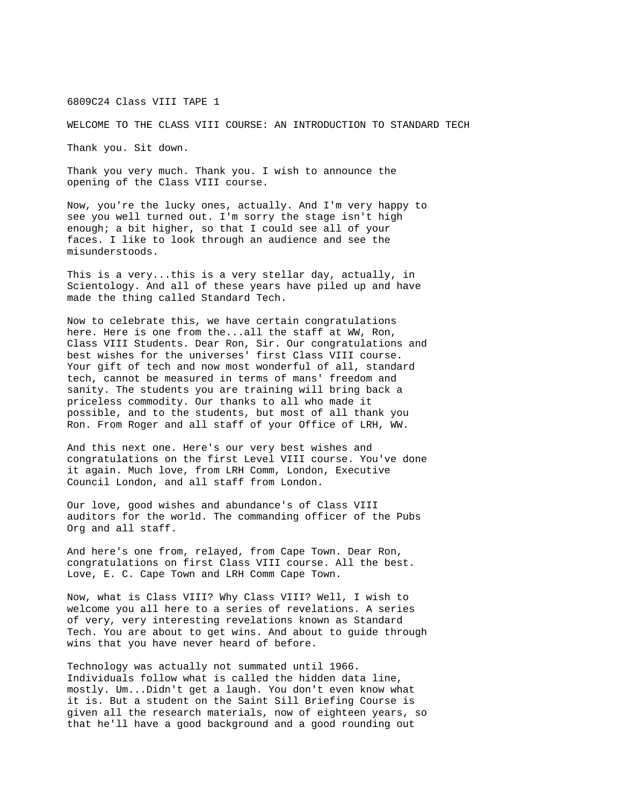## 6809C24 Class VIII TAPE 1

WELCOME TO THE CLASS VIII COURSE: AN INTRODUCTION TO STANDARD TECH

Thank you. Sit down.

Thank you very much. Thank you. I wish to announce the opening of the Class VIII course.

Now, you're the lucky ones, actually. And I'm very happy to see you well turned out. I'm sorry the stage isn't high enough; a bit higher, so that I could see all of your faces. I like to look through an audience and see the misunderstoods.

This is a very...this is a very stellar day, actually, in Scientology. And all of these years have piled up and have made the thing called Standard Tech.

Now to celebrate this, we have certain congratulations here. Here is one from the...all the staff at WW, Ron, Class VIII Students. Dear Ron, Sir. Our congratulations and best wishes for the universes' first Class VIII course. Your gift of tech and now most wonderful of all, standard tech, cannot be measured in terms of mans' freedom and sanity. The students you are training will bring back a priceless commodity. Our thanks to all who made it possible, and to the students, but most of all thank you Ron. From Roger and all staff of your Office of LRH, WW.

And this next one. Here's our very best wishes and congratulations on the first Level VIII course. You've done it again. Much love, from LRH Comm, London, Executive Council London, and all staff from London.

Our love, good wishes and abundance's of Class VIII auditors for the world. The commanding officer of the Pubs Org and all staff.

And here's one from, relayed, from Cape Town. Dear Ron, congratulations on first Class VIII course. All the best. Love, E. C. Cape Town and LRH Comm Cape Town.

Now, what is Class VIII? Why Class VIII? Well, I wish to welcome you all here to a series of revelations. A series of very, very interesting revelations known as Standard Tech. You are about to get wins. And about to guide through wins that you have never heard of before.

Technology was actually not summated until 1966. Individuals follow what is called the hidden data line, mostly. Um...Didn't get a laugh. You don't even know what it is. But a student on the Saint Sill Briefing Course is given all the research materials, now of eighteen years, so that he'll have a good background and a good rounding out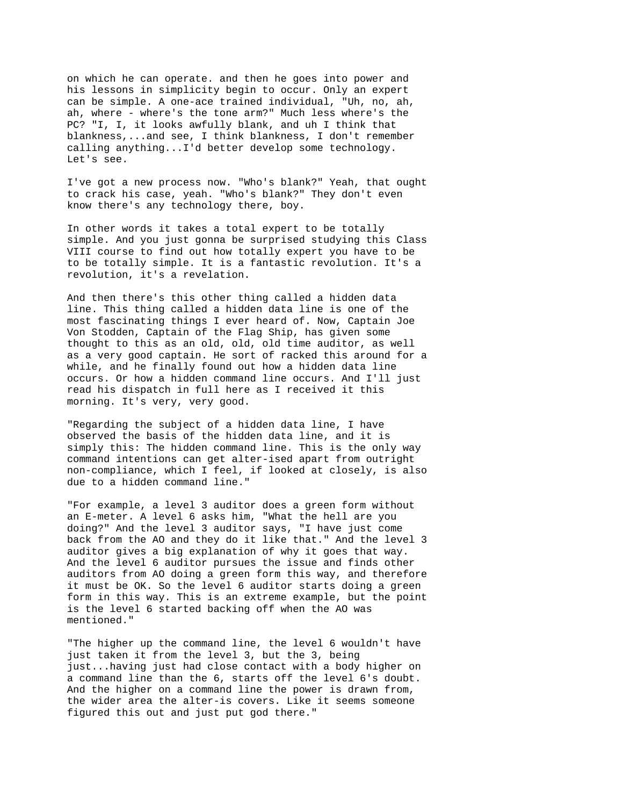on which he can operate. and then he goes into power and his lessons in simplicity begin to occur. Only an expert can be simple. A one-ace trained individual, "Uh, no, ah, ah, where - where's the tone arm?" Much less where's the PC? "I, I, it looks awfully blank, and uh I think that blankness,...and see, I think blankness, I don't remember calling anything...I'd better develop some technology. Let's see.

I've got a new process now. "Who's blank?" Yeah, that ought to crack his case, yeah. "Who's blank?" They don't even know there's any technology there, boy.

In other words it takes a total expert to be totally simple. And you just gonna be surprised studying this Class VIII course to find out how totally expert you have to be to be totally simple. It is a fantastic revolution. It's a revolution, it's a revelation.

And then there's this other thing called a hidden data line. This thing called a hidden data line is one of the most fascinating things I ever heard of. Now, Captain Joe Von Stodden, Captain of the Flag Ship, has given some thought to this as an old, old, old time auditor, as well as a very good captain. He sort of racked this around for a while, and he finally found out how a hidden data line occurs. Or how a hidden command line occurs. And I'll just read his dispatch in full here as I received it this morning. It's very, very good.

"Regarding the subject of a hidden data line, I have observed the basis of the hidden data line, and it is simply this: The hidden command line. This is the only way command intentions can get alter-ised apart from outright non-compliance, which I feel, if looked at closely, is also due to a hidden command line."

"For example, a level 3 auditor does a green form without an E-meter. A level 6 asks him, "What the hell are you doing?" And the level 3 auditor says, "I have just come back from the AO and they do it like that." And the level 3 auditor gives a big explanation of why it goes that way. And the level 6 auditor pursues the issue and finds other auditors from AO doing a green form this way, and therefore it must be OK. So the level 6 auditor starts doing a green form in this way. This is an extreme example, but the point is the level 6 started backing off when the AO was mentioned."

"The higher up the command line, the level 6 wouldn't have just taken it from the level 3, but the 3, being just...having just had close contact with a body higher on a command line than the 6, starts off the level 6's doubt. And the higher on a command line the power is drawn from, the wider area the alter-is covers. Like it seems someone figured this out and just put god there."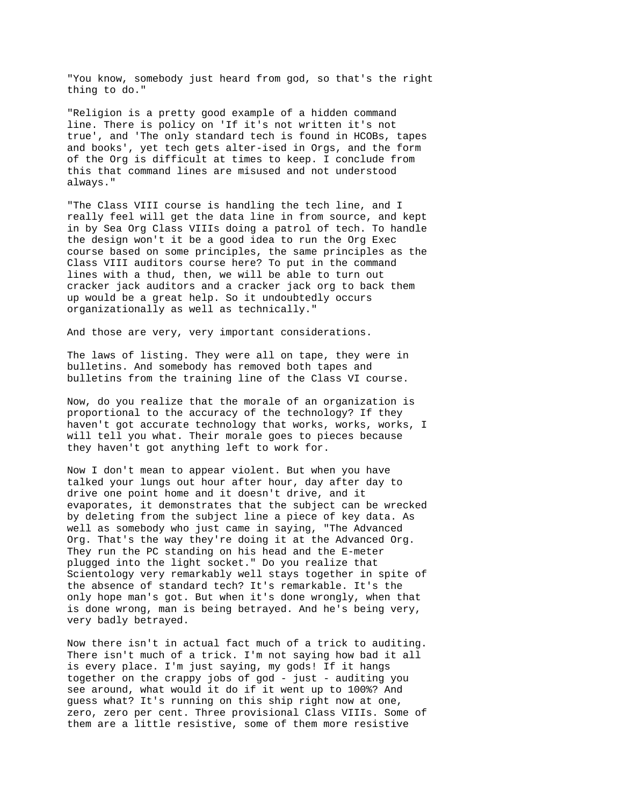"You know, somebody just heard from god, so that's the right thing to do."

"Religion is a pretty good example of a hidden command line. There is policy on 'If it's not written it's not true', and 'The only standard tech is found in HCOBs, tapes and books', yet tech gets alter-ised in Orgs, and the form of the Org is difficult at times to keep. I conclude from this that command lines are misused and not understood always."

"The Class VIII course is handling the tech line, and I really feel will get the data line in from source, and kept in by Sea Org Class VIIIs doing a patrol of tech. To handle the design won't it be a good idea to run the Org Exec course based on some principles, the same principles as the Class VIII auditors course here? To put in the command lines with a thud, then, we will be able to turn out cracker jack auditors and a cracker jack org to back them up would be a great help. So it undoubtedly occurs organizationally as well as technically."

And those are very, very important considerations.

The laws of listing. They were all on tape, they were in bulletins. And somebody has removed both tapes and bulletins from the training line of the Class VI course.

Now, do you realize that the morale of an organization is proportional to the accuracy of the technology? If they haven't got accurate technology that works, works, works, I will tell you what. Their morale goes to pieces because they haven't got anything left to work for.

Now I don't mean to appear violent. But when you have talked your lungs out hour after hour, day after day to drive one point home and it doesn't drive, and it evaporates, it demonstrates that the subject can be wrecked by deleting from the subject line a piece of key data. As well as somebody who just came in saying, "The Advanced Org. That's the way they're doing it at the Advanced Org. They run the PC standing on his head and the E-meter plugged into the light socket." Do you realize that Scientology very remarkably well stays together in spite of the absence of standard tech? It's remarkable. It's the only hope man's got. But when it's done wrongly, when that is done wrong, man is being betrayed. And he's being very, very badly betrayed.

Now there isn't in actual fact much of a trick to auditing. There isn't much of a trick. I'm not saying how bad it all is every place. I'm just saying, my gods! If it hangs together on the crappy jobs of god - just - auditing you see around, what would it do if it went up to 100%? And guess what? It's running on this ship right now at one, zero, zero per cent. Three provisional Class VIIIs. Some of them are a little resistive, some of them more resistive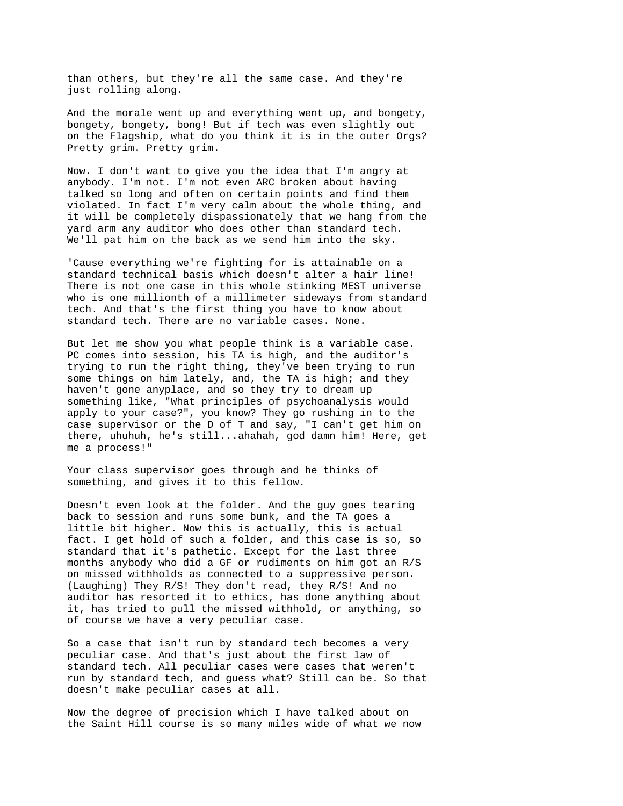than others, but they're all the same case. And they're just rolling along.

And the morale went up and everything went up, and bongety, bongety, bongety, bong! But if tech was even slightly out on the Flagship, what do you think it is in the outer Orgs? Pretty grim. Pretty grim.

Now. I don't want to give you the idea that I'm angry at anybody. I'm not. I'm not even ARC broken about having talked so long and often on certain points and find them violated. In fact I'm very calm about the whole thing, and it will be completely dispassionately that we hang from the yard arm any auditor who does other than standard tech. We'll pat him on the back as we send him into the sky.

'Cause everything we're fighting for is attainable on a standard technical basis which doesn't alter a hair line! There is not one case in this whole stinking MEST universe who is one millionth of a millimeter sideways from standard tech. And that's the first thing you have to know about standard tech. There are no variable cases. None.

But let me show you what people think is a variable case. PC comes into session, his TA is high, and the auditor's trying to run the right thing, they've been trying to run some things on him lately, and, the TA is high; and they haven't gone anyplace, and so they try to dream up something like, "What principles of psychoanalysis would apply to your case?", you know? They go rushing in to the case supervisor or the D of T and say, "I can't get him on there, uhuhuh, he's still...ahahah, god damn him! Here, get me a process!"

Your class supervisor goes through and he thinks of something, and gives it to this fellow.

Doesn't even look at the folder. And the guy goes tearing back to session and runs some bunk, and the TA goes a little bit higher. Now this is actually, this is actual fact. I get hold of such a folder, and this case is so, so standard that it's pathetic. Except for the last three months anybody who did a GF or rudiments on him got an R/S on missed withholds as connected to a suppressive person. (Laughing) They R/S! They don't read, they R/S! And no auditor has resorted it to ethics, has done anything about it, has tried to pull the missed withhold, or anything, so of course we have a very peculiar case.

So a case that isn't run by standard tech becomes a very peculiar case. And that's just about the first law of standard tech. All peculiar cases were cases that weren't run by standard tech, and guess what? Still can be. So that doesn't make peculiar cases at all.

Now the degree of precision which I have talked about on the Saint Hill course is so many miles wide of what we now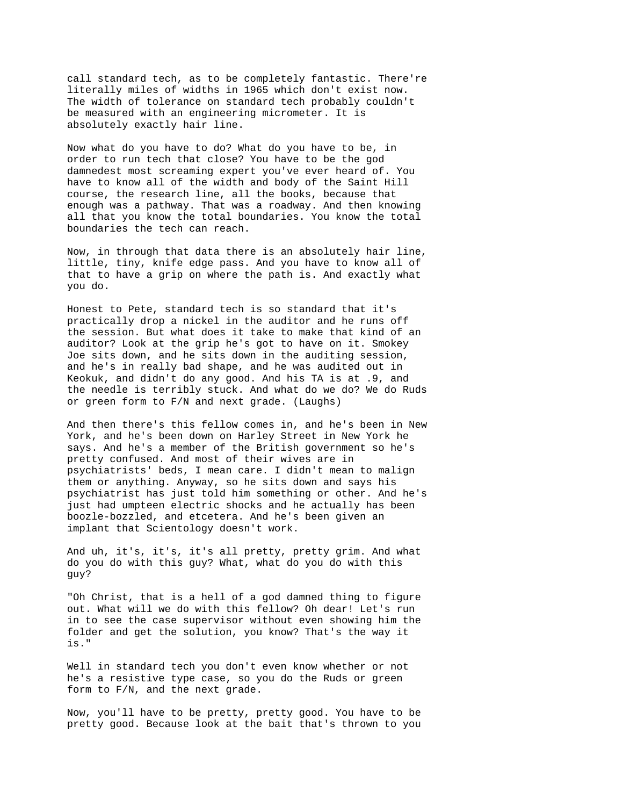call standard tech, as to be completely fantastic. There're literally miles of widths in 1965 which don't exist now. The width of tolerance on standard tech probably couldn't be measured with an engineering micrometer. It is absolutely exactly hair line.

Now what do you have to do? What do you have to be, in order to run tech that close? You have to be the god damnedest most screaming expert you've ever heard of. You have to know all of the width and body of the Saint Hill course, the research line, all the books, because that enough was a pathway. That was a roadway. And then knowing all that you know the total boundaries. You know the total boundaries the tech can reach.

Now, in through that data there is an absolutely hair line, little, tiny, knife edge pass. And you have to know all of that to have a grip on where the path is. And exactly what you do.

Honest to Pete, standard tech is so standard that it's practically drop a nickel in the auditor and he runs off the session. But what does it take to make that kind of an auditor? Look at the grip he's got to have on it. Smokey Joe sits down, and he sits down in the auditing session, and he's in really bad shape, and he was audited out in Keokuk, and didn't do any good. And his TA is at .9, and the needle is terribly stuck. And what do we do? We do Ruds or green form to F/N and next grade. (Laughs)

And then there's this fellow comes in, and he's been in New York, and he's been down on Harley Street in New York he says. And he's a member of the British government so he's pretty confused. And most of their wives are in psychiatrists' beds, I mean care. I didn't mean to malign them or anything. Anyway, so he sits down and says his psychiatrist has just told him something or other. And he's just had umpteen electric shocks and he actually has been boozle-bozzled, and etcetera. And he's been given an implant that Scientology doesn't work.

And uh, it's, it's, it's all pretty, pretty grim. And what do you do with this guy? What, what do you do with this guy?

"Oh Christ, that is a hell of a god damned thing to figure out. What will we do with this fellow? Oh dear! Let's run in to see the case supervisor without even showing him the folder and get the solution, you know? That's the way it is."

Well in standard tech you don't even know whether or not he's a resistive type case, so you do the Ruds or green form to F/N, and the next grade.

Now, you'll have to be pretty, pretty good. You have to be pretty good. Because look at the bait that's thrown to you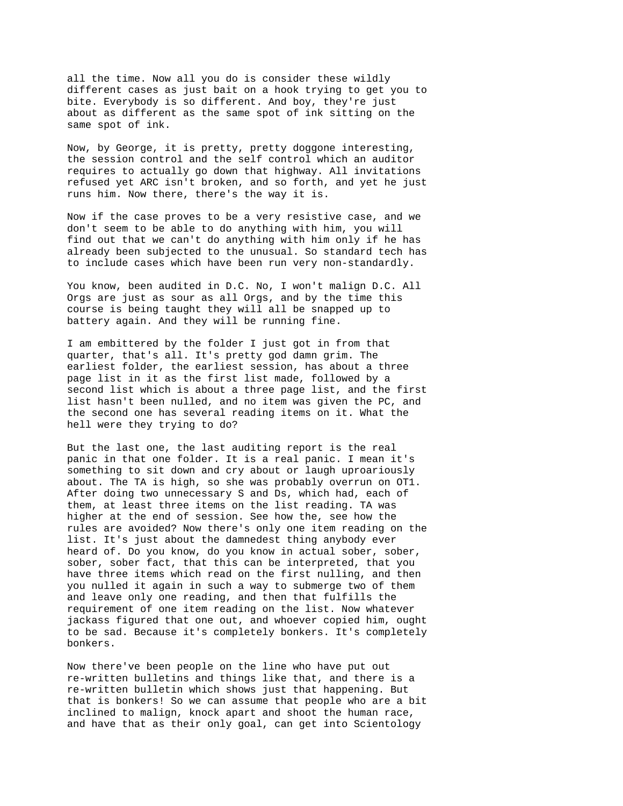all the time. Now all you do is consider these wildly different cases as just bait on a hook trying to get you to bite. Everybody is so different. And boy, they're just about as different as the same spot of ink sitting on the same spot of ink.

Now, by George, it is pretty, pretty doggone interesting, the session control and the self control which an auditor requires to actually go down that highway. All invitations refused yet ARC isn't broken, and so forth, and yet he just runs him. Now there, there's the way it is.

Now if the case proves to be a very resistive case, and we don't seem to be able to do anything with him, you will find out that we can't do anything with him only if he has already been subjected to the unusual. So standard tech has to include cases which have been run very non-standardly.

You know, been audited in D.C. No, I won't malign D.C. All Orgs are just as sour as all Orgs, and by the time this course is being taught they will all be snapped up to battery again. And they will be running fine.

I am embittered by the folder I just got in from that quarter, that's all. It's pretty god damn grim. The earliest folder, the earliest session, has about a three page list in it as the first list made, followed by a second list which is about a three page list, and the first list hasn't been nulled, and no item was given the PC, and the second one has several reading items on it. What the hell were they trying to do?

But the last one, the last auditing report is the real panic in that one folder. It is a real panic. I mean it's something to sit down and cry about or laugh uproariously about. The TA is high, so she was probably overrun on OT1. After doing two unnecessary S and Ds, which had, each of them, at least three items on the list reading. TA was higher at the end of session. See how the, see how the rules are avoided? Now there's only one item reading on the list. It's just about the damnedest thing anybody ever heard of. Do you know, do you know in actual sober, sober, sober, sober fact, that this can be interpreted, that you have three items which read on the first nulling, and then you nulled it again in such a way to submerge two of them and leave only one reading, and then that fulfills the requirement of one item reading on the list. Now whatever jackass figured that one out, and whoever copied him, ought to be sad. Because it's completely bonkers. It's completely bonkers.

Now there've been people on the line who have put out re-written bulletins and things like that, and there is a re-written bulletin which shows just that happening. But that is bonkers! So we can assume that people who are a bit inclined to malign, knock apart and shoot the human race, and have that as their only goal, can get into Scientology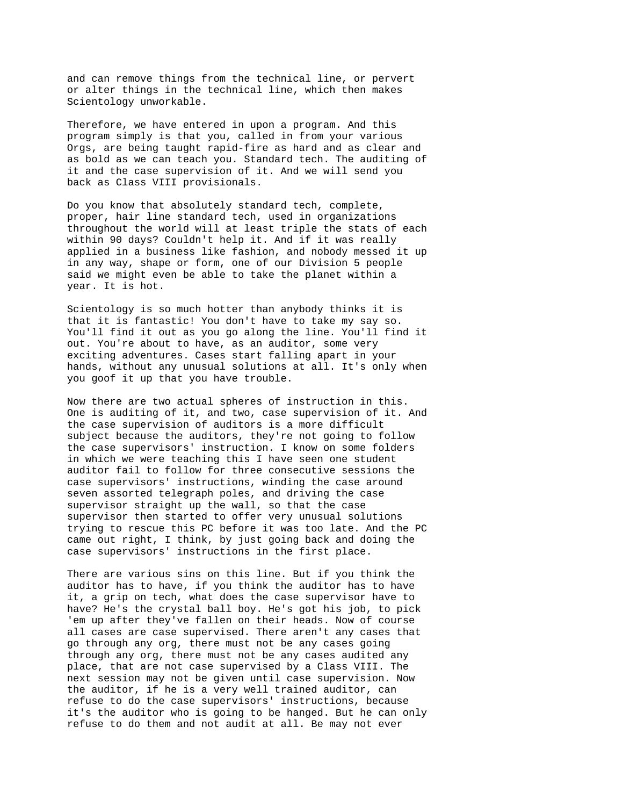and can remove things from the technical line, or pervert or alter things in the technical line, which then makes Scientology unworkable.

Therefore, we have entered in upon a program. And this program simply is that you, called in from your various Orgs, are being taught rapid-fire as hard and as clear and as bold as we can teach you. Standard tech. The auditing of it and the case supervision of it. And we will send you back as Class VIII provisionals.

Do you know that absolutely standard tech, complete, proper, hair line standard tech, used in organizations throughout the world will at least triple the stats of each within 90 days? Couldn't help it. And if it was really applied in a business like fashion, and nobody messed it up in any way, shape or form, one of our Division 5 people said we might even be able to take the planet within a year. It is hot.

Scientology is so much hotter than anybody thinks it is that it is fantastic! You don't have to take my say so. You'll find it out as you go along the line. You'll find it out. You're about to have, as an auditor, some very exciting adventures. Cases start falling apart in your hands, without any unusual solutions at all. It's only when you goof it up that you have trouble.

Now there are two actual spheres of instruction in this. One is auditing of it, and two, case supervision of it. And the case supervision of auditors is a more difficult subject because the auditors, they're not going to follow the case supervisors' instruction. I know on some folders in which we were teaching this I have seen one student auditor fail to follow for three consecutive sessions the case supervisors' instructions, winding the case around seven assorted telegraph poles, and driving the case supervisor straight up the wall, so that the case supervisor then started to offer very unusual solutions trying to rescue this PC before it was too late. And the PC came out right, I think, by just going back and doing the case supervisors' instructions in the first place.

There are various sins on this line. But if you think the auditor has to have, if you think the auditor has to have it, a grip on tech, what does the case supervisor have to have? He's the crystal ball boy. He's got his job, to pick 'em up after they've fallen on their heads. Now of course all cases are case supervised. There aren't any cases that go through any org, there must not be any cases going through any org, there must not be any cases audited any place, that are not case supervised by a Class VIII. The next session may not be given until case supervision. Now the auditor, if he is a very well trained auditor, can refuse to do the case supervisors' instructions, because it's the auditor who is going to be hanged. But he can only refuse to do them and not audit at all. Be may not ever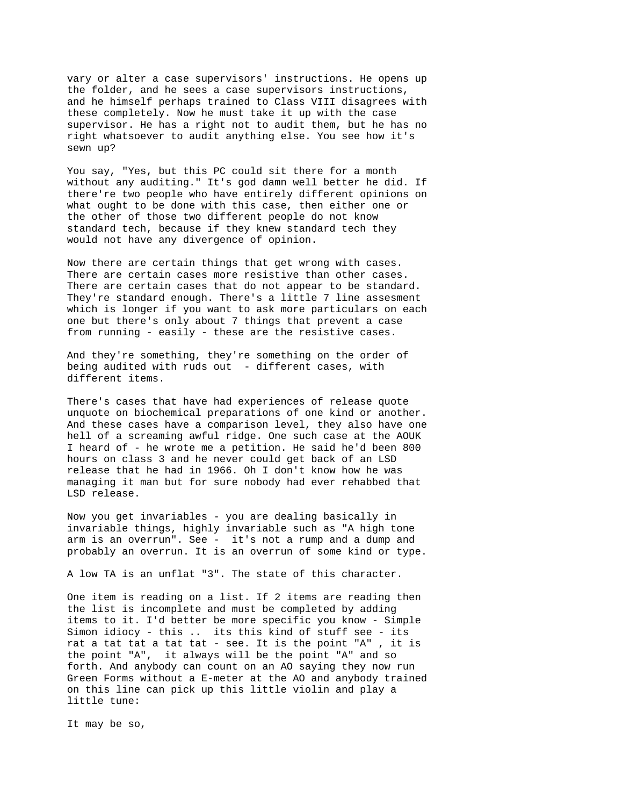vary or alter a case supervisors' instructions. He opens up the folder, and he sees a case supervisors instructions, and he himself perhaps trained to Class VIII disagrees with these completely. Now he must take it up with the case supervisor. He has a right not to audit them, but he has no right whatsoever to audit anything else. You see how it's sewn up?

You say, "Yes, but this PC could sit there for a month without any auditing." It's god damn well better he did. If there're two people who have entirely different opinions on what ought to be done with this case, then either one or the other of those two different people do not know standard tech, because if they knew standard tech they would not have any divergence of opinion.

Now there are certain things that get wrong with cases. There are certain cases more resistive than other cases. There are certain cases that do not appear to be standard. They're standard enough. There's a little 7 line assesment which is longer if you want to ask more particulars on each one but there's only about 7 things that prevent a case from running - easily - these are the resistive cases.

And they're something, they're something on the order of being audited with ruds out - different cases, with different items.

There's cases that have had experiences of release quote unquote on biochemical preparations of one kind or another. And these cases have a comparison level, they also have one hell of a screaming awful ridge. One such case at the AOUK I heard of - he wrote me a petition. He said he'd been 800 hours on class 3 and he never could get back of an LSD release that he had in 1966. Oh I don't know how he was managing it man but for sure nobody had ever rehabbed that LSD release.

Now you get invariables - you are dealing basically in invariable things, highly invariable such as "A high tone arm is an overrun". See - it's not a rump and a dump and probably an overrun. It is an overrun of some kind or type.

A low TA is an unflat "3". The state of this character.

One item is reading on a list. If 2 items are reading then the list is incomplete and must be completed by adding items to it. I'd better be more specific you know - Simple Simon idiocy - this .. its this kind of stuff see - its rat a tat tat a tat tat - see. It is the point "A", it is the point "A", it always will be the point "A" and so forth. And anybody can count on an AO saying they now run Green Forms without a E-meter at the AO and anybody trained on this line can pick up this little violin and play a little tune:

It may be so,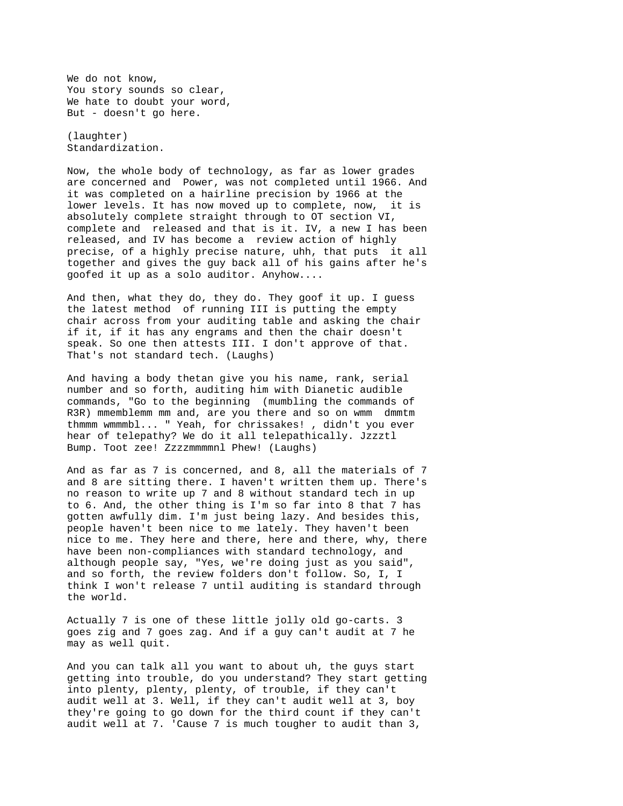We do not know, You story sounds so clear, We hate to doubt your word, But - doesn't go here.

(laughter) Standardization.

Now, the whole body of technology, as far as lower grades are concerned and Power, was not completed until 1966. And it was completed on a hairline precision by 1966 at the lower levels. It has now moved up to complete, now, it is absolutely complete straight through to OT section VI, complete and released and that is it. IV, a new I has been released, and IV has become a review action of highly precise, of a highly precise nature, uhh, that puts it all together and gives the guy back all of his gains after he's goofed it up as a solo auditor. Anyhow....

And then, what they do, they do. They goof it up. I guess the latest method of running III is putting the empty chair across from your auditing table and asking the chair if it, if it has any engrams and then the chair doesn't speak. So one then attests III. I don't approve of that. That's not standard tech. (Laughs)

And having a body thetan give you his name, rank, serial number and so forth, auditing him with Dianetic audible commands, "Go to the beginning (mumbling the commands of R3R) mmemblemm mm and, are you there and so on wmm dmmtm thmmm wmmmbl... " Yeah, for chrissakes! , didn't you ever hear of telepathy? We do it all telepathically. Jzzztl Bump. Toot zee! Zzzzmmmmnl Phew! (Laughs)

And as far as 7 is concerned, and 8, all the materials of 7 and 8 are sitting there. I haven't written them up. There's no reason to write up 7 and 8 without standard tech in up to 6. And, the other thing is I'm so far into 8 that 7 has gotten awfully dim. I'm just being lazy. And besides this, people haven't been nice to me lately. They haven't been nice to me. They here and there, here and there, why, there have been non-compliances with standard technology, and although people say, "Yes, we're doing just as you said", and so forth, the review folders don't follow. So, I, I think I won't release 7 until auditing is standard through the world.

Actually 7 is one of these little jolly old go-carts. 3 goes zig and 7 goes zag. And if a guy can't audit at 7 he may as well quit.

And you can talk all you want to about uh, the guys start getting into trouble, do you understand? They start getting into plenty, plenty, plenty, of trouble, if they can't audit well at 3. Well, if they can't audit well at 3, boy they're going to go down for the third count if they can't audit well at 7. 'Cause 7 is much tougher to audit than 3,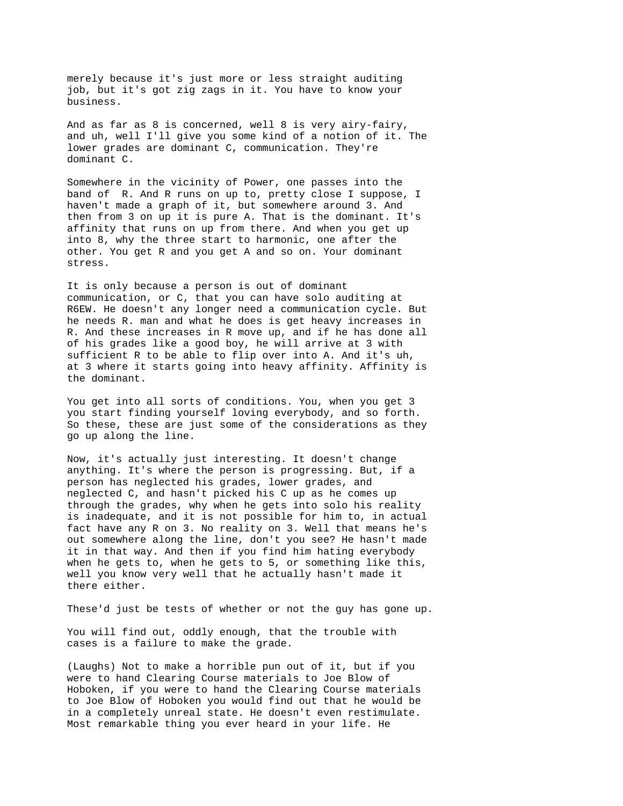merely because it's just more or less straight auditing job, but it's got zig zags in it. You have to know your business.

And as far as 8 is concerned, well 8 is very airy-fairy, and uh, well I'll give you some kind of a notion of it. The lower grades are dominant C, communication. They're dominant C.

Somewhere in the vicinity of Power, one passes into the band of R. And R runs on up to, pretty close I suppose, I haven't made a graph of it, but somewhere around 3. And then from 3 on up it is pure A. That is the dominant. It's affinity that runs on up from there. And when you get up into 8, why the three start to harmonic, one after the other. You get R and you get A and so on. Your dominant stress.

It is only because a person is out of dominant communication, or C, that you can have solo auditing at R6EW. He doesn't any longer need a communication cycle. But he needs R. man and what he does is get heavy increases in R. And these increases in R move up, and if he has done all of his grades like a good boy, he will arrive at 3 with sufficient R to be able to flip over into A. And it's uh, at 3 where it starts going into heavy affinity. Affinity is the dominant.

You get into all sorts of conditions. You, when you get 3 you start finding yourself loving everybody, and so forth. So these, these are just some of the considerations as they go up along the line.

Now, it's actually just interesting. It doesn't change anything. It's where the person is progressing. But, if a person has neglected his grades, lower grades, and neglected C, and hasn't picked his C up as he comes up through the grades, why when he gets into solo his reality is inadequate, and it is not possible for him to, in actual fact have any R on 3. No reality on 3. Well that means he's out somewhere along the line, don't you see? He hasn't made it in that way. And then if you find him hating everybody when he gets to, when he gets to 5, or something like this, well you know very well that he actually hasn't made it there either.

These'd just be tests of whether or not the guy has gone up.

You will find out, oddly enough, that the trouble with cases is a failure to make the grade.

(Laughs) Not to make a horrible pun out of it, but if you were to hand Clearing Course materials to Joe Blow of Hoboken, if you were to hand the Clearing Course materials to Joe Blow of Hoboken you would find out that he would be in a completely unreal state. He doesn't even restimulate. Most remarkable thing you ever heard in your life. He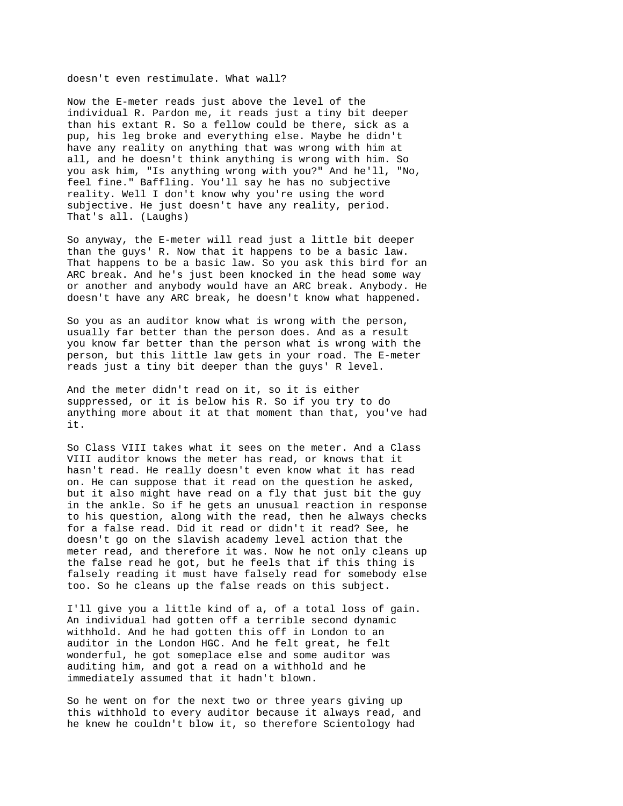doesn't even restimulate. What wall?

Now the E-meter reads just above the level of the individual R. Pardon me, it reads just a tiny bit deeper than his extant R. So a fellow could be there, sick as a pup, his leg broke and everything else. Maybe he didn't have any reality on anything that was wrong with him at all, and he doesn't think anything is wrong with him. So you ask him, "Is anything wrong with you?" And he'll, "No, feel fine." Baffling. You'll say he has no subjective reality. Well I don't know why you're using the word subjective. He just doesn't have any reality, period. That's all. (Laughs)

So anyway, the E-meter will read just a little bit deeper than the guys' R. Now that it happens to be a basic law. That happens to be a basic law. So you ask this bird for an ARC break. And he's just been knocked in the head some way or another and anybody would have an ARC break. Anybody. He doesn't have any ARC break, he doesn't know what happened.

So you as an auditor know what is wrong with the person, usually far better than the person does. And as a result you know far better than the person what is wrong with the person, but this little law gets in your road. The E-meter reads just a tiny bit deeper than the guys' R level.

And the meter didn't read on it, so it is either suppressed, or it is below his R. So if you try to do anything more about it at that moment than that, you've had it.

So Class VIII takes what it sees on the meter. And a Class VIII auditor knows the meter has read, or knows that it hasn't read. He really doesn't even know what it has read on. He can suppose that it read on the question he asked, but it also might have read on a fly that just bit the guy in the ankle. So if he gets an unusual reaction in response to his question, along with the read, then he always checks for a false read. Did it read or didn't it read? See, he doesn't go on the slavish academy level action that the meter read, and therefore it was. Now he not only cleans up the false read he got, but he feels that if this thing is falsely reading it must have falsely read for somebody else too. So he cleans up the false reads on this subject.

I'll give you a little kind of a, of a total loss of gain. An individual had gotten off a terrible second dynamic withhold. And he had gotten this off in London to an auditor in the London HGC. And he felt great, he felt wonderful, he got someplace else and some auditor was auditing him, and got a read on a withhold and he immediately assumed that it hadn't blown.

So he went on for the next two or three years giving up this withhold to every auditor because it always read, and he knew he couldn't blow it, so therefore Scientology had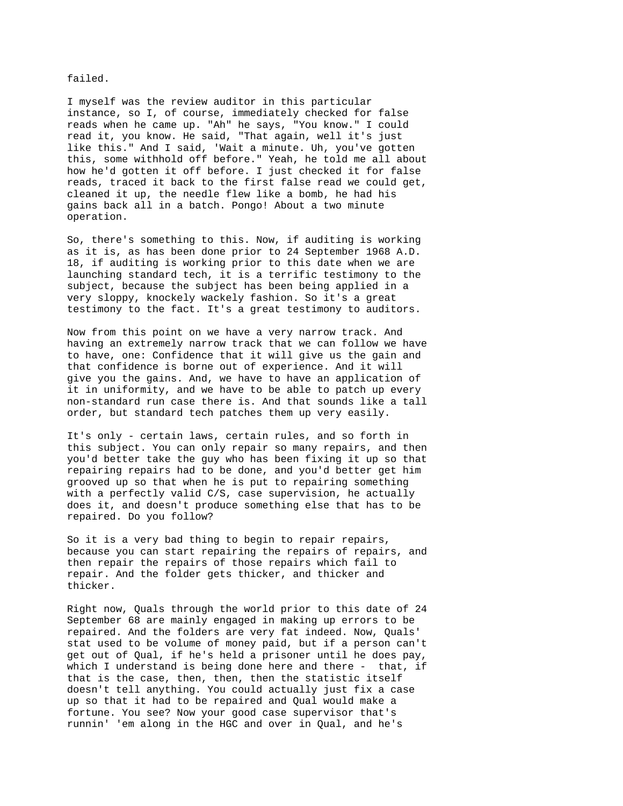## failed.

I myself was the review auditor in this particular instance, so I, of course, immediately checked for false reads when he came up. "Ah" he says, "You know." I could read it, you know. He said, "That again, well it's just like this." And I said, 'Wait a minute. Uh, you've gotten this, some withhold off before." Yeah, he told me all about how he'd gotten it off before. I just checked it for false reads, traced it back to the first false read we could get, cleaned it up, the needle flew like a bomb, he had his gains back all in a batch. Pongo! About a two minute operation.

So, there's something to this. Now, if auditing is working as it is, as has been done prior to 24 September 1968 A.D. 18, if auditing is working prior to this date when we are launching standard tech, it is a terrific testimony to the subject, because the subject has been being applied in a very sloppy, knockely wackely fashion. So it's a great testimony to the fact. It's a great testimony to auditors.

Now from this point on we have a very narrow track. And having an extremely narrow track that we can follow we have to have, one: Confidence that it will give us the gain and that confidence is borne out of experience. And it will give you the gains. And, we have to have an application of it in uniformity, and we have to be able to patch up every non-standard run case there is. And that sounds like a tall order, but standard tech patches them up very easily.

It's only - certain laws, certain rules, and so forth in this subject. You can only repair so many repairs, and then you'd better take the guy who has been fixing it up so that repairing repairs had to be done, and you'd better get him grooved up so that when he is put to repairing something with a perfectly valid C/S, case supervision, he actually does it, and doesn't produce something else that has to be repaired. Do you follow?

So it is a very bad thing to begin to repair repairs, because you can start repairing the repairs of repairs, and then repair the repairs of those repairs which fail to repair. And the folder gets thicker, and thicker and thicker.

Right now, Quals through the world prior to this date of 24 September 68 are mainly engaged in making up errors to be repaired. And the folders are very fat indeed. Now, Quals' stat used to be volume of money paid, but if a person can't get out of Qual, if he's held a prisoner until he does pay, which I understand is being done here and there - that, if that is the case, then, then, then the statistic itself doesn't tell anything. You could actually just fix a case up so that it had to be repaired and Qual would make a fortune. You see? Now your good case supervisor that's runnin' 'em along in the HGC and over in Qual, and he's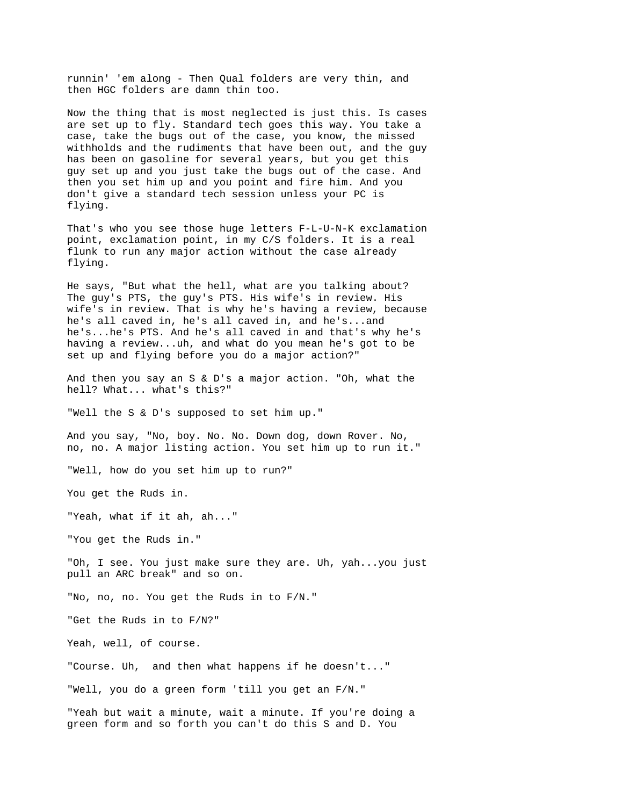runnin' 'em along - Then Qual folders are very thin, and then HGC folders are damn thin too.

Now the thing that is most neglected is just this. Is cases are set up to fly. Standard tech goes this way. You take a case, take the bugs out of the case, you know, the missed withholds and the rudiments that have been out, and the guy has been on gasoline for several years, but you get this guy set up and you just take the bugs out of the case. And then you set him up and you point and fire him. And you don't give a standard tech session unless your PC is flying.

That's who you see those huge letters F-L-U-N-K exclamation point, exclamation point, in my C/S folders. It is a real flunk to run any major action without the case already flying.

He says, "But what the hell, what are you talking about? The guy's PTS, the guy's PTS. His wife's in review. His wife's in review. That is why he's having a review, because he's all caved in, he's all caved in, and he's...and he's...he's PTS. And he's all caved in and that's why he's having a review...uh, and what do you mean he's got to be set up and flying before you do a major action?"

And then you say an S & D's a major action. "Oh, what the hell? What... what's this?"

"Well the S & D's supposed to set him up."

And you say, "No, boy. No. No. Down dog, down Rover. No, no, no. A major listing action. You set him up to run it."

"Well, how do you set him up to run?"

You get the Ruds in.

"Yeah, what if it ah, ah..."

"You get the Ruds in."

"Oh, I see. You just make sure they are. Uh, yah...you just pull an ARC break" and so on.

"No, no, no. You get the Ruds in to F/N."

"Get the Ruds in to F/N?"

Yeah, well, of course.

"Course. Uh, and then what happens if he doesn't..."

"Well, you do a green form 'till you get an F/N."

"Yeah but wait a minute, wait a minute. If you're doing a green form and so forth you can't do this S and D. You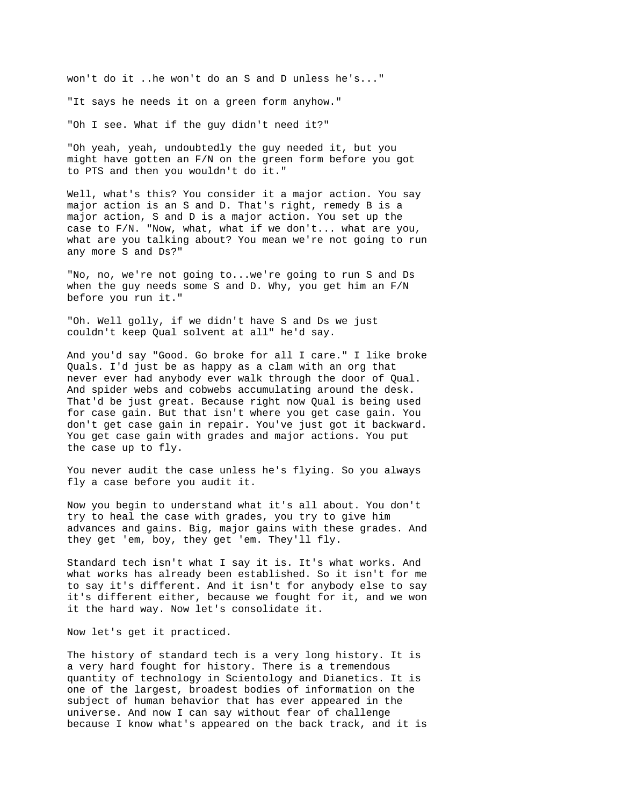won't do it ..he won't do an S and D unless he's..." "It says he needs it on a green form anyhow." "Oh I see. What if the guy didn't need it?"

"Oh yeah, yeah, undoubtedly the guy needed it, but you might have gotten an F/N on the green form before you got to PTS and then you wouldn't do it."

Well, what's this? You consider it a major action. You say major action is an S and D. That's right, remedy B is a major action, S and D is a major action. You set up the case to F/N. "Now, what, what if we don't... what are you, what are you talking about? You mean we're not going to run any more S and Ds?"

"No, no, we're not going to...we're going to run S and Ds when the guy needs some S and D. Why, you get him an F/N before you run it."

"Oh. Well golly, if we didn't have S and Ds we just couldn't keep Qual solvent at all" he'd say.

And you'd say "Good. Go broke for all I care." I like broke Quals. I'd just be as happy as a clam with an org that never ever had anybody ever walk through the door of Qual. And spider webs and cobwebs accumulating around the desk. That'd be just great. Because right now Qual is being used for case gain. But that isn't where you get case gain. You don't get case gain in repair. You've just got it backward. You get case gain with grades and major actions. You put the case up to fly.

You never audit the case unless he's flying. So you always fly a case before you audit it.

Now you begin to understand what it's all about. You don't try to heal the case with grades, you try to give him advances and gains. Big, major gains with these grades. And they get 'em, boy, they get 'em. They'll fly.

Standard tech isn't what I say it is. It's what works. And what works has already been established. So it isn't for me to say it's different. And it isn't for anybody else to say it's different either, because we fought for it, and we won it the hard way. Now let's consolidate it.

Now let's get it practiced.

The history of standard tech is a very long history. It is a very hard fought for history. There is a tremendous quantity of technology in Scientology and Dianetics. It is one of the largest, broadest bodies of information on the subject of human behavior that has ever appeared in the universe. And now I can say without fear of challenge because I know what's appeared on the back track, and it is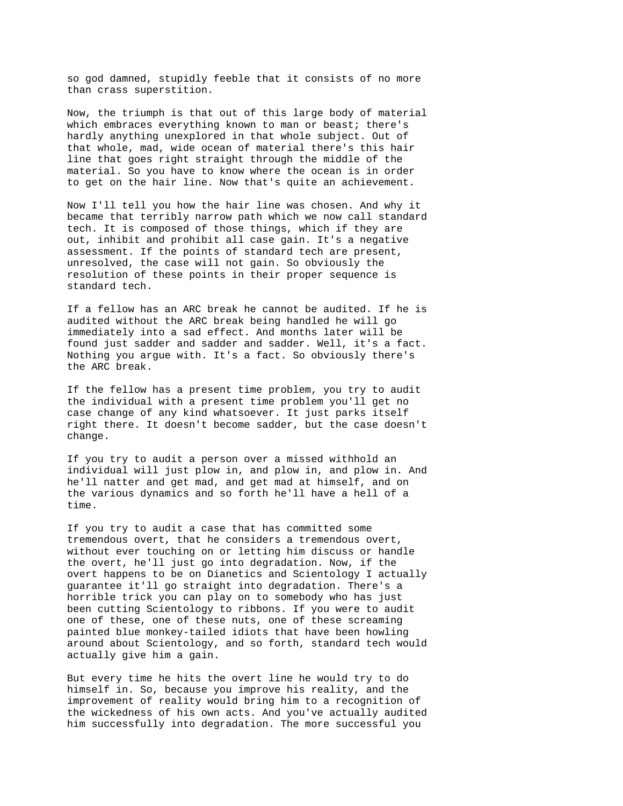so god damned, stupidly feeble that it consists of no more than crass superstition.

Now, the triumph is that out of this large body of material which embraces everything known to man or beast; there's hardly anything unexplored in that whole subject. Out of that whole, mad, wide ocean of material there's this hair line that goes right straight through the middle of the material. So you have to know where the ocean is in order to get on the hair line. Now that's quite an achievement.

Now I'll tell you how the hair line was chosen. And why it became that terribly narrow path which we now call standard tech. It is composed of those things, which if they are out, inhibit and prohibit all case gain. It's a negative assessment. If the points of standard tech are present, unresolved, the case will not gain. So obviously the resolution of these points in their proper sequence is standard tech.

If a fellow has an ARC break he cannot be audited. If he is audited without the ARC break being handled he will go immediately into a sad effect. And months later will be found just sadder and sadder and sadder. Well, it's a fact. Nothing you argue with. It's a fact. So obviously there's the ARC break.

If the fellow has a present time problem, you try to audit the individual with a present time problem you'll get no case change of any kind whatsoever. It just parks itself right there. It doesn't become sadder, but the case doesn't change.

If you try to audit a person over a missed withhold an individual will just plow in, and plow in, and plow in. And he'll natter and get mad, and get mad at himself, and on the various dynamics and so forth he'll have a hell of a time.

If you try to audit a case that has committed some tremendous overt, that he considers a tremendous overt, without ever touching on or letting him discuss or handle the overt, he'll just go into degradation. Now, if the overt happens to be on Dianetics and Scientology I actually guarantee it'll go straight into degradation. There's a horrible trick you can play on to somebody who has just been cutting Scientology to ribbons. If you were to audit one of these, one of these nuts, one of these screaming painted blue monkey-tailed idiots that have been howling around about Scientology, and so forth, standard tech would actually give him a gain.

But every time he hits the overt line he would try to do himself in. So, because you improve his reality, and the improvement of reality would bring him to a recognition of the wickedness of his own acts. And you've actually audited him successfully into degradation. The more successful you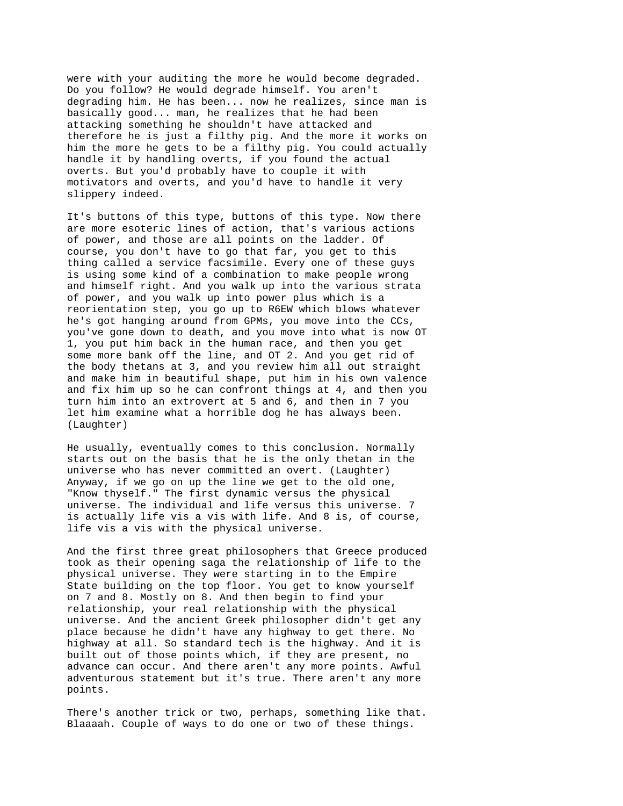were with your auditing the more he would become degraded. Do you follow? He would degrade himself. You aren't degrading him. He has been... now he realizes, since man is basically good... man, he realizes that he had been attacking something he shouldn't have attacked and therefore he is just a filthy pig. And the more it works on him the more he gets to be a filthy pig. You could actually handle it by handling overts, if you found the actual overts. But you'd probably have to couple it with motivators and overts, and you'd have to handle it very slippery indeed.

It's buttons of this type, buttons of this type. Now there are more esoteric lines of action, that's various actions of power, and those are all points on the ladder. Of course, you don't have to go that far, you get to this thing called a service facsimile. Every one of these guys is using some kind of a combination to make people wrong and himself right. And you walk up into the various strata of power, and you walk up into power plus which is a reorientation step, you go up to R6EW which blows whatever he's got hanging around from GPMs, you move into the CCs, you've gone down to death, and you move into what is now OT 1, you put him back in the human race, and then you get some more bank off the line, and OT 2. And you get rid of the body thetans at 3, and you review him all out straight and make him in beautiful shape, put him in his own valence and fix him up so he can confront things at 4, and then you turn him into an extrovert at 5 and 6, and then in 7 you let him examine what a horrible dog he has always been. (Laughter)

He usually, eventually comes to this conclusion. Normally starts out on the basis that he is the only thetan in the universe who has never committed an overt. (Laughter) Anyway, if we go on up the line we get to the old one, "Know thyself." The first dynamic versus the physical universe. The individual and life versus this universe. 7 is actually life vis a vis with life. And 8 is, of course, life vis a vis with the physical universe.

And the first three great philosophers that Greece produced took as their opening saga the relationship of life to the physical universe. They were starting in to the Empire State building on the top floor. You get to know yourself on 7 and 8. Mostly on 8. And then begin to find your relationship, your real relationship with the physical universe. And the ancient Greek philosopher didn't get any place because he didn't have any highway to get there. No highway at all. So standard tech is the highway. And it is built out of those points which, if they are present, no advance can occur. And there aren't any more points. Awful adventurous statement but it's true. There aren't any more points.

There's another trick or two, perhaps, something like that. Blaaaah. Couple of ways to do one or two of these things.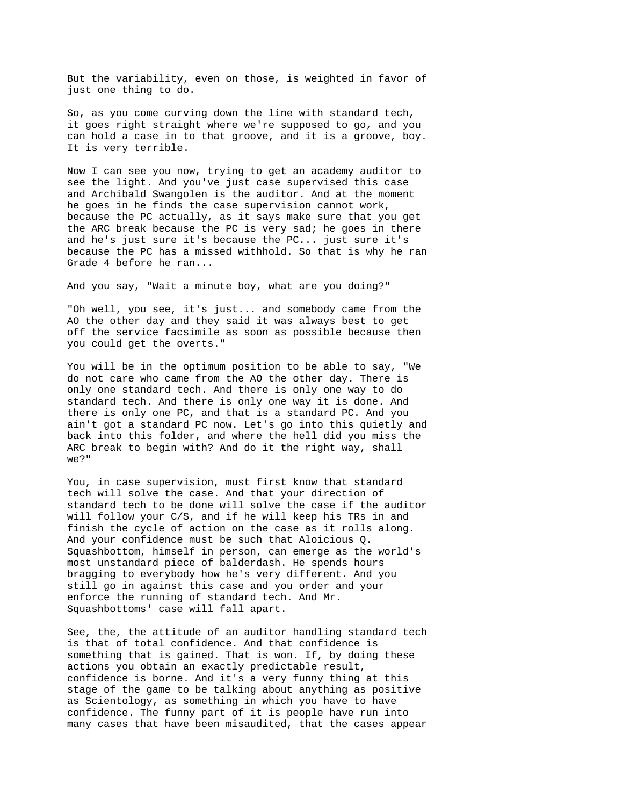But the variability, even on those, is weighted in favor of just one thing to do.

So, as you come curving down the line with standard tech, it goes right straight where we're supposed to go, and you can hold a case in to that groove, and it is a groove, boy. It is very terrible.

Now I can see you now, trying to get an academy auditor to see the light. And you've just case supervised this case and Archibald Swangolen is the auditor. And at the moment he goes in he finds the case supervision cannot work, because the PC actually, as it says make sure that you get the ARC break because the PC is very sad; he goes in there and he's just sure it's because the PC... just sure it's because the PC has a missed withhold. So that is why he ran Grade 4 before he ran...

And you say, "Wait a minute boy, what are you doing?"

"Oh well, you see, it's just... and somebody came from the AO the other day and they said it was always best to get off the service facsimile as soon as possible because then you could get the overts."

You will be in the optimum position to be able to say, "We do not care who came from the AO the other day. There is only one standard tech. And there is only one way to do standard tech. And there is only one way it is done. And there is only one PC, and that is a standard PC. And you ain't got a standard PC now. Let's go into this quietly and back into this folder, and where the hell did you miss the ARC break to begin with? And do it the right way, shall we?"

You, in case supervision, must first know that standard tech will solve the case. And that your direction of standard tech to be done will solve the case if the auditor will follow your C/S, and if he will keep his TRs in and finish the cycle of action on the case as it rolls along. And your confidence must be such that Aloicious Q. Squashbottom, himself in person, can emerge as the world's most unstandard piece of balderdash. He spends hours bragging to everybody how he's very different. And you still go in against this case and you order and your enforce the running of standard tech. And Mr. Squashbottoms' case will fall apart.

See, the, the attitude of an auditor handling standard tech is that of total confidence. And that confidence is something that is gained. That is won. If, by doing these actions you obtain an exactly predictable result, confidence is borne. And it's a very funny thing at this stage of the game to be talking about anything as positive as Scientology, as something in which you have to have confidence. The funny part of it is people have run into many cases that have been misaudited, that the cases appear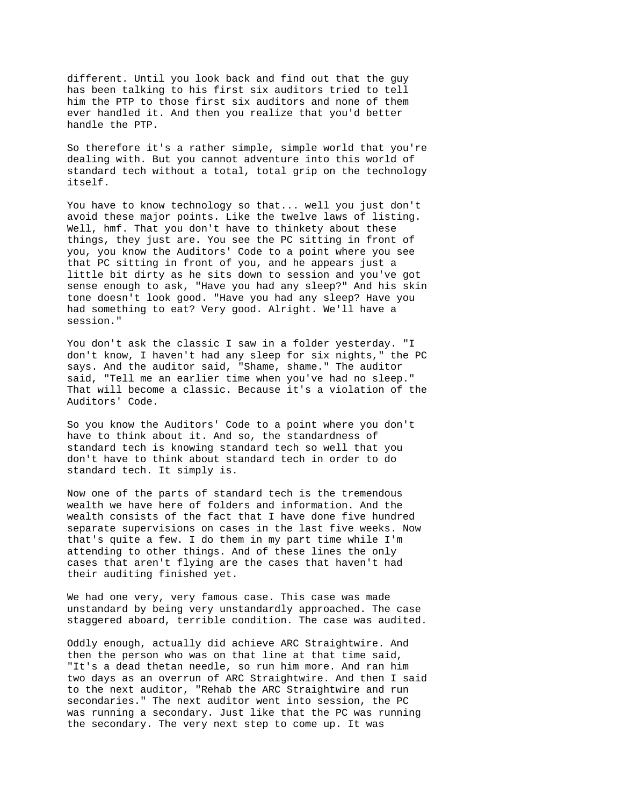different. Until you look back and find out that the guy has been talking to his first six auditors tried to tell him the PTP to those first six auditors and none of them ever handled it. And then you realize that you'd better handle the PTP.

So therefore it's a rather simple, simple world that you're dealing with. But you cannot adventure into this world of standard tech without a total, total grip on the technology itself.

You have to know technology so that... well you just don't avoid these major points. Like the twelve laws of listing. Well, hmf. That you don't have to thinkety about these things, they just are. You see the PC sitting in front of you, you know the Auditors' Code to a point where you see that PC sitting in front of you, and he appears just a little bit dirty as he sits down to session and you've got sense enough to ask, "Have you had any sleep?" And his skin tone doesn't look good. "Have you had any sleep? Have you had something to eat? Very good. Alright. We'll have a session."

You don't ask the classic I saw in a folder yesterday. "I don't know, I haven't had any sleep for six nights," the PC says. And the auditor said, "Shame, shame." The auditor said, "Tell me an earlier time when you've had no sleep." That will become a classic. Because it's a violation of the Auditors' Code.

So you know the Auditors' Code to a point where you don't have to think about it. And so, the standardness of standard tech is knowing standard tech so well that you don't have to think about standard tech in order to do standard tech. It simply is.

Now one of the parts of standard tech is the tremendous wealth we have here of folders and information. And the wealth consists of the fact that I have done five hundred separate supervisions on cases in the last five weeks. Now that's quite a few. I do them in my part time while I'm attending to other things. And of these lines the only cases that aren't flying are the cases that haven't had their auditing finished yet.

We had one very, very famous case. This case was made unstandard by being very unstandardly approached. The case staggered aboard, terrible condition. The case was audited.

Oddly enough, actually did achieve ARC Straightwire. And then the person who was on that line at that time said, "It's a dead thetan needle, so run him more. And ran him two days as an overrun of ARC Straightwire. And then I said to the next auditor, "Rehab the ARC Straightwire and run secondaries." The next auditor went into session, the PC was running a secondary. Just like that the PC was running the secondary. The very next step to come up. It was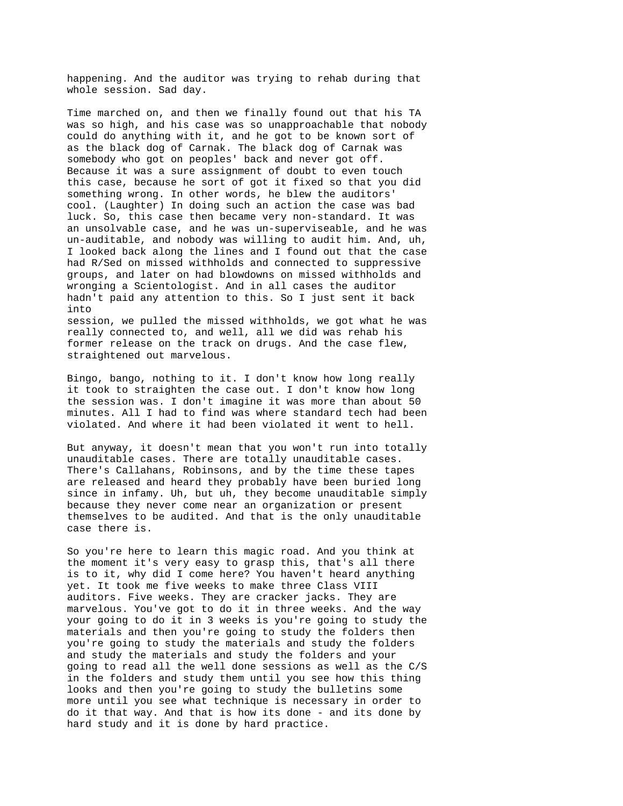happening. And the auditor was trying to rehab during that whole session. Sad day.

Time marched on, and then we finally found out that his TA was so high, and his case was so unapproachable that nobody could do anything with it, and he got to be known sort of as the black dog of Carnak. The black dog of Carnak was somebody who got on peoples' back and never got off. Because it was a sure assignment of doubt to even touch this case, because he sort of got it fixed so that you did something wrong. In other words, he blew the auditors' cool. (Laughter) In doing such an action the case was bad luck. So, this case then became very non-standard. It was an unsolvable case, and he was un-superviseable, and he was un-auditable, and nobody was willing to audit him. And, uh, I looked back along the lines and I found out that the case had R/Sed on missed withholds and connected to suppressive groups, and later on had blowdowns on missed withholds and wronging a Scientologist. And in all cases the auditor hadn't paid any attention to this. So I just sent it back into

session, we pulled the missed withholds, we got what he was really connected to, and well, all we did was rehab his former release on the track on drugs. And the case flew, straightened out marvelous.

Bingo, bango, nothing to it. I don't know how long really it took to straighten the case out. I don't know how long the session was. I don't imagine it was more than about 50 minutes. All I had to find was where standard tech had been violated. And where it had been violated it went to hell.

But anyway, it doesn't mean that you won't run into totally unauditable cases. There are totally unauditable cases. There's Callahans, Robinsons, and by the time these tapes are released and heard they probably have been buried long since in infamy. Uh, but uh, they become unauditable simply because they never come near an organization or present themselves to be audited. And that is the only unauditable case there is.

So you're here to learn this magic road. And you think at the moment it's very easy to grasp this, that's all there is to it, why did I come here? You haven't heard anything yet. It took me five weeks to make three Class VIII auditors. Five weeks. They are cracker jacks. They are marvelous. You've got to do it in three weeks. And the way your going to do it in 3 weeks is you're going to study the materials and then you're going to study the folders then you're going to study the materials and study the folders and study the materials and study the folders and your going to read all the well done sessions as well as the C/S in the folders and study them until you see how this thing looks and then you're going to study the bulletins some more until you see what technique is necessary in order to do it that way. And that is how its done - and its done by hard study and it is done by hard practice.